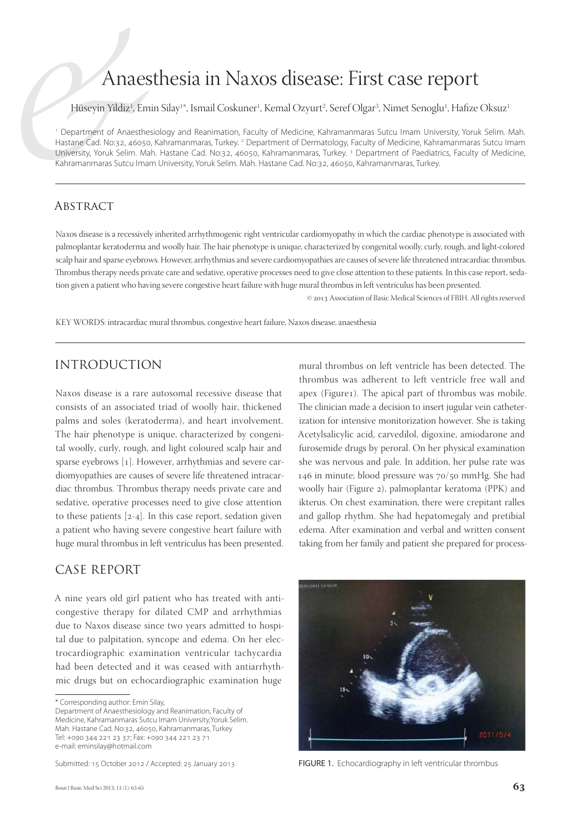# Anaesthesia in Naxos disease: First case report

Hüseyin Yildiz<sup>ı</sup>, Emin Silay<sup>ı</sup>\*, Ismail Coskuner<sup>ı</sup>, Kemal Ozyurt<sup>2</sup>, Seref Olgar<sup>3</sup>, Nimet Senoglu<sup>ı</sup>, Hafize Oksuz<sup>ı</sup>

1 Department of Anaesthesiology and Reanimation, Faculty of Medicine, Kahramanmaras Sutcu Imam University, Yoruk Selim. Mah. Hastane Cad. No:32, 46050, Kahramanmaras, Turkey. <sup>2</sup> Department of Dermatology, Faculty of Medicine, Kahramanmaras Sutcu Imam University, Yoruk Selim. Mah. Hastane Cad. No:32, 46050, Kahramanmaras, Turkey.<sup>3</sup> Department of Paediatrics, Faculty of Medicine, Kahramanmaras Sutcu Imam University, Yoruk Selim. Mah. Hastane Cad. No:32, 46050, Kahramanmaras, Turkey.

#### **ABSTRACT**

Naxos disease is a recessively inherited arrhythmogenic right ventricular cardiomyopathy in which the cardiac phenotype is associated with palmoplantar keratoderma and woolly hair. The hair phenotype is unique, characterized by congenital woolly, curly, rough, and light-colored scalp hair and sparse eyebrows. However, arrhythmias and severe cardiomyopathies are causes of severe life threatened intracardiac thrombus. Thrombus therapy needs private care and sedative, operative processes need to give close attention to these patients. In this case report, sedation given a patient who having severe congestive heart failure with huge mural thrombus in left ventriculus has been presented.

 $@$  2013 Association of Basic Medical Sciences of FBIH. All rights reserved

KEY WORDS: intracardiac mural thrombus, congestive heart failure, Naxos disease, anaesthesia

# INTRODUCTION

Naxos disease is a rare autosomal recessive disease that consists of an associated triad of woolly hair, thickened palms and soles (keratoderma), and heart involvement. The hair phenotype is unique, characterized by congenital woolly, curly, rough, and light coloured scalp hair and sparse eyebrows [1]. However, arrhythmias and severe cardiomyopathies are causes of severe life threatened intracardiac thrombus. Thrombus therapy needs private care and sedative, operative processes need to give close attention to these patients  $[2-4]$ . In this case report, sedation given a patient who having severe congestive heart failure with huge mural thrombus in left ventriculus has been presented.

#### CASE REPORT

A nine years old girl patient who has treated with anticongestive therapy for dilated CMP and arrhythmias due to Naxos disease since two years admitted to hospital due to palpitation, syncope and edema. On her electrocardiographic examination ventricular tachycardia had been detected and it was ceased with antiarrhythmic drugs but on echocardiographic examination huge

mural thrombus on left ventricle has been detected. The thrombus was adherent to left ventricle free wall and apex (Figure1). The apical part of thrombus was mobile. The clinician made a decision to insert jugular vein catheterization for intensive monitorization however. She is taking Acetylsalicylic acid, carvedilol, digoxine, amiodarone and furosemide drugs by peroral. On her physical examination she was nervous and pale. In addition, her pulse rate was 146 in minute; blood pressure was 70/50 mmHg. She had woolly hair (Figure 2), palmoplantar keratoma (PPK) and ikterus. On chest examination, there were crepitant ralles and gallop rhythm. She had hepatomegaly and pretibial edema. After examination and verbal and written consent taking from her family and patient she prepared for process-



Submitted: 15 October 2012 / Accepted: 25 January 2013 FIGURE 1. Echocardiography in left ventricular thrombus

<sup>\*</sup> Corresponding author: Emin Silay,

Department of Anaesthesiology and Reanimation, Faculty of Medicine, Kahramanmaras Sutcu Imam University,Yoruk Selim. Mah. Hastane Cad. No:32, 46050, Kahramanmaras, Turkey Tel: +090 344 221 23 37; Fax: +090 344 221 23 71 e-mail: eminsilay@hotmail.com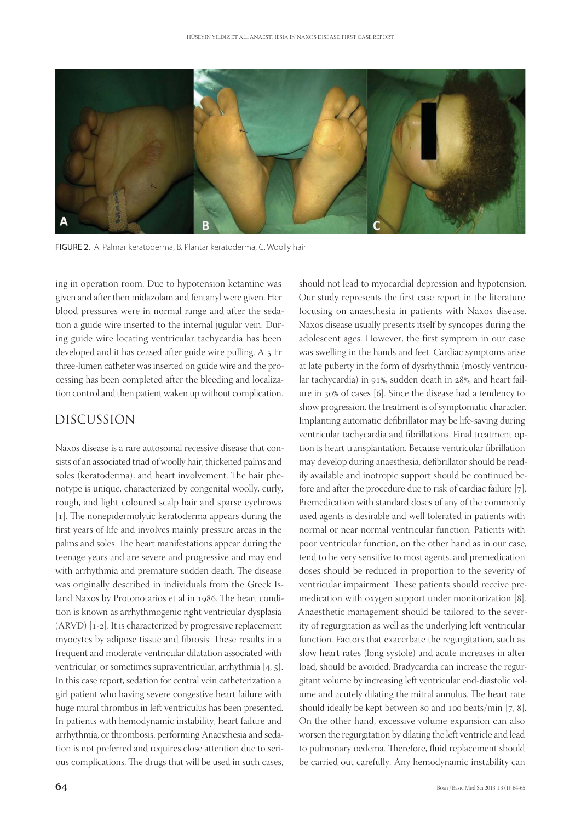

FIGURE 2. A. Palmar keratoderma, B. Plantar keratoderma, C. Woolly hair

ing in operation room. Due to hypotension ketamine was given and after then midazolam and fentanyl were given. Her blood pressures were in normal range and after the sedation a guide wire inserted to the internal jugular vein. During guide wire locating ventricular tachycardia has been developed and it has ceased after guide wire pulling. A 5 Fr three-lumen catheter was inserted on guide wire and the processing has been completed after the bleeding and localization control and then patient waken up without complication.

## DISCUSSION

Naxos disease is a rare autosomal recessive disease that consists of an associated triad of woolly hair, thickened palms and soles (keratoderma), and heart involvement. The hair phenotype is unique, characterized by congenital woolly, curly, rough, and light coloured scalp hair and sparse eyebrows  $[1]$ . The nonepidermolytic keratoderma appears during the first years of life and involves mainly pressure areas in the palms and soles. The heart manifestations appear during the teenage years and are severe and progressive and may end with arrhythmia and premature sudden death. The disease was originally described in individuals from the Greek Island Naxos by Protonotarios et al in 1986. The heart condition is known as arrhythmogenic right ventricular dysplasia  $(ARVD)$  [1-2]. It is characterized by progressive replacement myocytes by adipose tissue and fibrosis. These results in a frequent and moderate ventricular dilatation associated with ventricular, or sometimes supraventricular, arrhythmia  $[4, 5]$ . In this case report, sedation for central vein catheterization a girl patient who having severe congestive heart failure with huge mural thrombus in left ventriculus has been presented. In patients with hemodynamic instability, heart failure and arrhythmia, or thrombosis, performing Anaesthesia and sedation is not preferred and requires close attention due to serious complications. The drugs that will be used in such cases,

should not lead to myocardial depression and hypotension. Our study represents the first case report in the literature focusing on anaesthesia in patients with Naxos disease. Naxos disease usually presents itself by syncopes during the adolescent ages. However, the first symptom in our case was swelling in the hands and feet. Cardiac symptoms arise at late puberty in the form of dysrhythmia (mostly ventricular tachycardia) in 91%, sudden death in 28%, and heart failure in  $30\%$  of cases [6]. Since the disease had a tendency to show progression, the treatment is of symptomatic character. Implanting automatic defibrillator may be life-saving during ventricular tachycardia and fibrillations. Final treatment option is heart transplantation. Because ventricular fibrillation may develop during anaesthesia, defibrillator should be readily available and inotropic support should be continued before and after the procedure due to risk of cardiac failure  $[7]$ . Premedication with standard doses of any of the commonly used agents is desirable and well tolerated in patients with normal or near normal ventricular function. Patients with poor ventricular function, on the other hand as in our case, tend to be very sensitive to most agents, and premedication doses should be reduced in proportion to the severity of ventricular impairment. These patients should receive premedication with oxygen support under monitorization [8]. Anaesthetic management should be tailored to the severity of regurgitation as well as the underlying left ventricular function. Factors that exacerbate the regurgitation, such as slow heart rates (long systole) and acute increases in after load, should be avoided. Bradycardia can increase the regurgitant volume by increasing left ventricular end-diastolic volume and acutely dilating the mitral annulus. The heart rate should ideally be kept between 80 and 100 beats/min  $[7, 8]$ . On the other hand, excessive volume expansion can also worsen the regurgitation by dilating the left ventricle and lead to pulmonary oedema. Therefore, fluid replacement should be carried out carefully. Any hemodynamic instability can